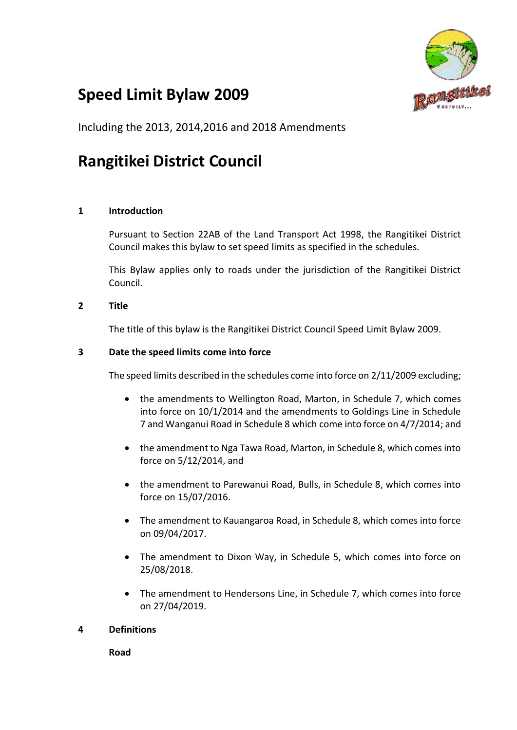

# **Speed Limit Bylaw 2009**

Including the 2013, 2014,2016 and 2018 Amendments

# **Rangitikei District Council**

## **1 Introduction**

Pursuant to Section 22AB of the Land Transport Act 1998, the Rangitikei District Council makes this bylaw to set speed limits as specified in the schedules.

This Bylaw applies only to roads under the jurisdiction of the Rangitikei District Council.

## **2 Title**

The title of this bylaw is the Rangitikei District Council Speed Limit Bylaw 2009.

#### **3 Date the speed limits come into force**

The speed limits described in the schedules come into force on 2/11/2009 excluding;

- the amendments to Wellington Road, Marton, in Schedule 7, which comes into force on 10/1/2014 and the amendments to Goldings Line in Schedule 7 and Wanganui Road in Schedule 8 which come into force on 4/7/2014; and
- the amendment to Nga Tawa Road, Marton, in Schedule 8, which comes into force on 5/12/2014, and
- the amendment to Parewanui Road, Bulls, in Schedule 8, which comes into force on 15/07/2016.
- The amendment to Kauangaroa Road, in Schedule 8, which comes into force on 09/04/2017.
- The amendment to Dixon Way, in Schedule 5, which comes into force on 25/08/2018.
- The amendment to Hendersons Line, in Schedule 7, which comes into force on 27/04/2019.

## **4 Definitions**

**Road**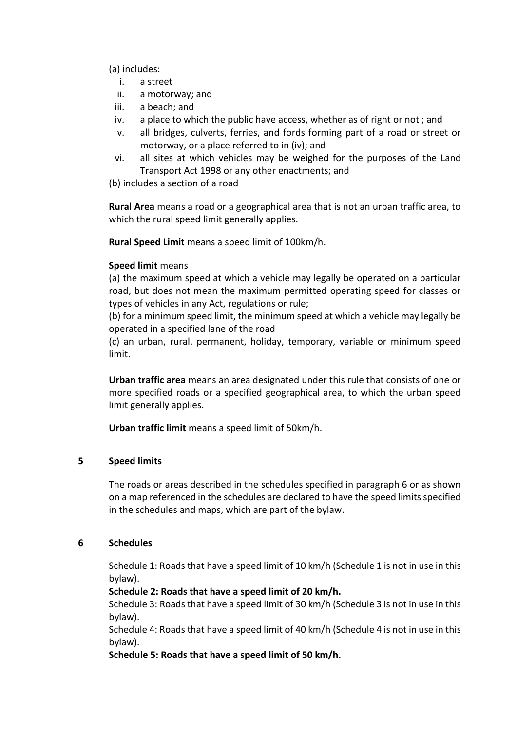(a) includes:

- i. a street
- ii. a motorway; and
- iii. a beach; and
- iv. a place to which the public have access, whether as of right or not ; and
- v. all bridges, culverts, ferries, and fords forming part of a road or street or motorway, or a place referred to in (iv); and
- vi. all sites at which vehicles may be weighed for the purposes of the Land Transport Act 1998 or any other enactments; and

(b) includes a section of a road

**Rural Area** means a road or a geographical area that is not an urban traffic area, to which the rural speed limit generally applies.

**Rural Speed Limit** means a speed limit of 100km/h.

#### **Speed limit** means

(a) the maximum speed at which a vehicle may legally be operated on a particular road, but does not mean the maximum permitted operating speed for classes or types of vehicles in any Act, regulations or rule;

(b) for a minimum speed limit, the minimum speed at which a vehicle may legally be operated in a specified lane of the road

(c) an urban, rural, permanent, holiday, temporary, variable or minimum speed limit.

**Urban traffic area** means an area designated under this rule that consists of one or more specified roads or a specified geographical area, to which the urban speed limit generally applies.

**Urban traffic limit** means a speed limit of 50km/h.

## **5 Speed limits**

The roads or areas described in the schedules specified in paragraph 6 or as shown on a map referenced in the schedules are declared to have the speed limits specified in the schedules and maps, which are part of the bylaw.

#### **6 Schedules**

Schedule 1: Roads that have a speed limit of 10 km/h (Schedule 1 is not in use in this bylaw).

#### **Schedule 2: Roads that have a speed limit of 20 km/h.**

Schedule 3: Roads that have a speed limit of 30 km/h (Schedule 3 is not in use in this bylaw).

Schedule 4: Roads that have a speed limit of 40 km/h (Schedule 4 is not in use in this bylaw).

**Schedule 5: Roads that have a speed limit of 50 km/h.**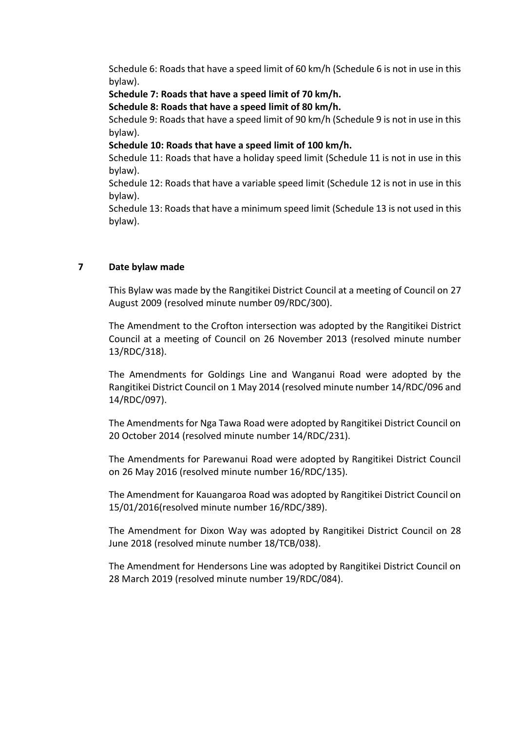Schedule 6: Roads that have a speed limit of 60 km/h (Schedule 6 is not in use in this bylaw).

**Schedule 7: Roads that have a speed limit of 70 km/h.** 

**Schedule 8: Roads that have a speed limit of 80 km/h.**

Schedule 9: Roads that have a speed limit of 90 km/h (Schedule 9 is not in use in this bylaw).

**Schedule 10: Roads that have a speed limit of 100 km/h.** 

Schedule 11: Roads that have a holiday speed limit (Schedule 11 is not in use in this bylaw).

Schedule 12: Roads that have a variable speed limit (Schedule 12 is not in use in this bylaw).

Schedule 13: Roads that have a minimum speed limit (Schedule 13 is not used in this bylaw).

## **7 Date bylaw made**

This Bylaw was made by the Rangitikei District Council at a meeting of Council on 27 August 2009 (resolved minute number 09/RDC/300).

The Amendment to the Crofton intersection was adopted by the Rangitikei District Council at a meeting of Council on 26 November 2013 (resolved minute number 13/RDC/318).

The Amendments for Goldings Line and Wanganui Road were adopted by the Rangitikei District Council on 1 May 2014 (resolved minute number 14/RDC/096 and 14/RDC/097).

The Amendments for Nga Tawa Road were adopted by Rangitikei District Council on 20 October 2014 (resolved minute number 14/RDC/231).

The Amendments for Parewanui Road were adopted by Rangitikei District Council on 26 May 2016 (resolved minute number 16/RDC/135).

The Amendment for Kauangaroa Road was adopted by Rangitikei District Council on 15/01/2016(resolved minute number 16/RDC/389).

The Amendment for Dixon Way was adopted by Rangitikei District Council on 28 June 2018 (resolved minute number 18/TCB/038).

The Amendment for Hendersons Line was adopted by Rangitikei District Council on 28 March 2019 (resolved minute number 19/RDC/084).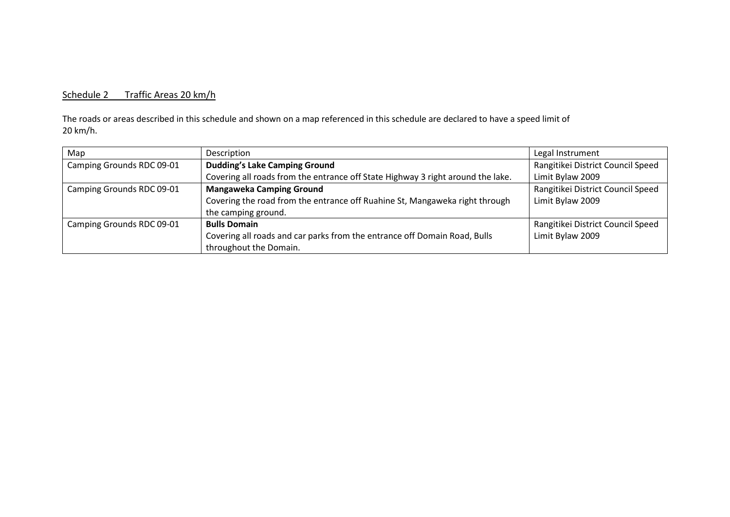# Schedule 2 Traffic Areas 20 km/h

The roads or areas described in this schedule and shown on a map referenced in this schedule are declared to have a speed limit of 20 km/h.

| Map                       | Description                                                                     | Legal Instrument                  |
|---------------------------|---------------------------------------------------------------------------------|-----------------------------------|
| Camping Grounds RDC 09-01 | <b>Dudding's Lake Camping Ground</b>                                            | Rangitikei District Council Speed |
|                           | Covering all roads from the entrance off State Highway 3 right around the lake. | Limit Bylaw 2009                  |
| Camping Grounds RDC 09-01 | <b>Mangaweka Camping Ground</b>                                                 | Rangitikei District Council Speed |
|                           | Covering the road from the entrance off Ruahine St, Mangaweka right through     | Limit Bylaw 2009                  |
|                           | the camping ground.                                                             |                                   |
| Camping Grounds RDC 09-01 | <b>Bulls Domain</b>                                                             | Rangitikei District Council Speed |
|                           | Covering all roads and car parks from the entrance off Domain Road, Bulls       | Limit Bylaw 2009                  |
|                           | throughout the Domain.                                                          |                                   |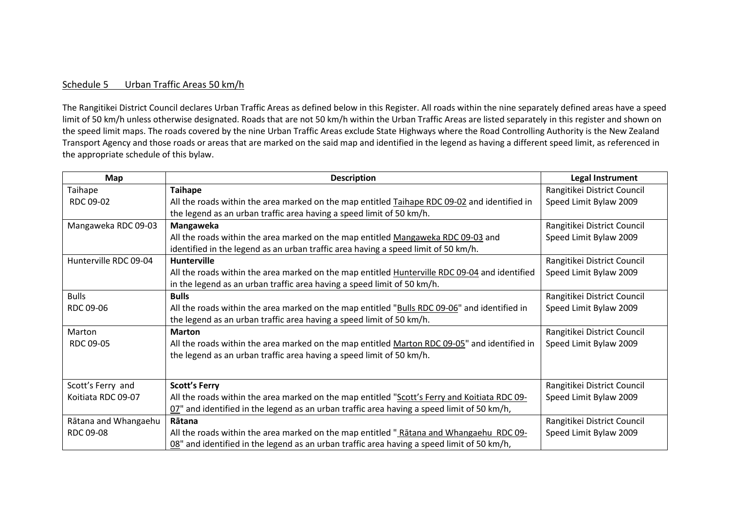#### Schedule 5 Urban Traffic Areas 50 km/h

The Rangitikei District Council declares Urban Traffic Areas as defined below in this Register. All roads within the nine separately defined areas have a speed limit of 50 km/h unless otherwise designated. Roads that are not 50 km/h within the Urban Traffic Areas are listed separately in this register and shown on the speed limit maps. The roads covered by the nine Urban Traffic Areas exclude State Highways where the Road Controlling Authority is the New Zealand Transport Agency and those roads or areas that are marked on the said map and identified in the legend as having a different speed limit, as referenced in the appropriate schedule of this bylaw.

| Map                   | <b>Description</b>                                                                                   | Legal Instrument            |
|-----------------------|------------------------------------------------------------------------------------------------------|-----------------------------|
| Taihape               | <b>Taihape</b>                                                                                       | Rangitikei District Council |
| RDC 09-02             | All the roads within the area marked on the map entitled Taihape RDC 09-02 and identified in         | Speed Limit Bylaw 2009      |
|                       | the legend as an urban traffic area having a speed limit of 50 km/h.                                 |                             |
| Mangaweka RDC 09-03   | Mangaweka                                                                                            | Rangitikei District Council |
|                       | All the roads within the area marked on the map entitled Mangaweka RDC 09-03 and                     | Speed Limit Bylaw 2009      |
|                       | identified in the legend as an urban traffic area having a speed limit of 50 km/h.                   |                             |
| Hunterville RDC 09-04 | <b>Hunterville</b>                                                                                   | Rangitikei District Council |
|                       | All the roads within the area marked on the map entitled <b>Hunterville RDC 09-04</b> and identified | Speed Limit Bylaw 2009      |
|                       | in the legend as an urban traffic area having a speed limit of 50 km/h.                              |                             |
| <b>Bulls</b>          | <b>Bulls</b>                                                                                         | Rangitikei District Council |
| RDC 09-06             | All the roads within the area marked on the map entitled "Bulls RDC 09-06" and identified in         | Speed Limit Bylaw 2009      |
|                       | the legend as an urban traffic area having a speed limit of 50 km/h.                                 |                             |
| Marton                | <b>Marton</b>                                                                                        | Rangitikei District Council |
| RDC 09-05             | All the roads within the area marked on the map entitled Marton RDC 09-05" and identified in         | Speed Limit Bylaw 2009      |
|                       | the legend as an urban traffic area having a speed limit of 50 km/h.                                 |                             |
|                       |                                                                                                      |                             |
| Scott's Ferry and     | <b>Scott's Ferry</b>                                                                                 | Rangitikei District Council |
| Koitiata RDC 09-07    | All the roads within the area marked on the map entitled "Scott's Ferry and Koitiata RDC 09-         | Speed Limit Bylaw 2009      |
|                       | $02$ " and identified in the legend as an urban traffic area having a speed limit of 50 km/h,        |                             |
| Rātana and Whangaehu  | Rātana                                                                                               | Rangitikei District Council |
| RDC 09-08             | All the roads within the area marked on the map entitled "Ratana and Whangaehu RDC 09-               | Speed Limit Bylaw 2009      |
|                       | 08" and identified in the legend as an urban traffic area having a speed limit of 50 km/h,           |                             |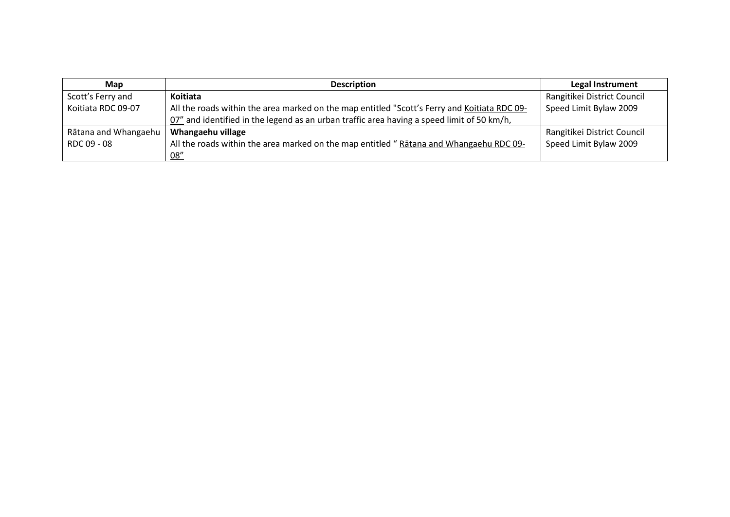| Map                  | <b>Description</b>                                                                           | Legal Instrument            |
|----------------------|----------------------------------------------------------------------------------------------|-----------------------------|
| Scott's Ferry and    | Koitiata                                                                                     | Rangitikei District Council |
| Koitiata RDC 09-07   | All the roads within the area marked on the map entitled "Scott's Ferry and Koitiata RDC 09- | Speed Limit Bylaw 2009      |
|                      | 07" and identified in the legend as an urban traffic area having a speed limit of 50 km/h,   |                             |
| Rātana and Whangaehu | Whangaehu village                                                                            | Rangitikei District Council |
| RDC 09 - 08          | All the roads within the area marked on the map entitled "Ratana and Whangaehu RDC 09-       | Speed Limit Bylaw 2009      |
|                      | 08''                                                                                         |                             |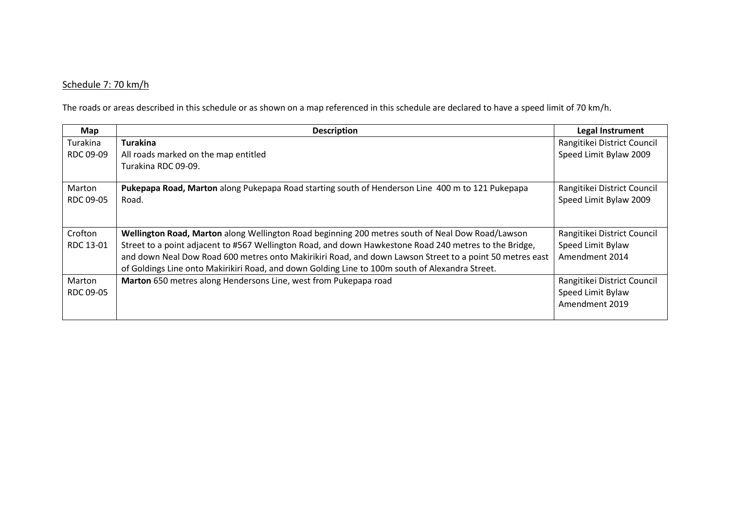# Schedule 7: 70 km/h

The roads or areas described in this schedule or as shown on a map referenced in this schedule are declared to have a speed limit of 70 km/h.

| Map       | <b>Description</b>                                                                                       | <b>Legal Instrument</b>     |
|-----------|----------------------------------------------------------------------------------------------------------|-----------------------------|
| Turakina  | <b>Turakina</b>                                                                                          | Rangitikei District Council |
| RDC 09-09 | All roads marked on the map entitled                                                                     | Speed Limit Bylaw 2009      |
|           | Turakina RDC 09-09.                                                                                      |                             |
|           |                                                                                                          |                             |
| Marton    | Pukepapa Road, Marton along Pukepapa Road starting south of Henderson Line 400 m to 121 Pukepapa         | Rangitikei District Council |
| RDC 09-05 | Road.                                                                                                    | Speed Limit Bylaw 2009      |
|           |                                                                                                          |                             |
| Crofton   | Wellington Road, Marton along Wellington Road beginning 200 metres south of Neal Dow Road/Lawson         | Rangitikei District Council |
| RDC 13-01 | Street to a point adjacent to #567 Wellington Road, and down Hawkestone Road 240 metres to the Bridge,   | Speed Limit Bylaw           |
|           | and down Neal Dow Road 600 metres onto Makirikiri Road, and down Lawson Street to a point 50 metres east | Amendment 2014              |
|           | of Goldings Line onto Makirikiri Road, and down Golding Line to 100m south of Alexandra Street.          |                             |
| Marton    | Marton 650 metres along Hendersons Line, west from Pukepapa road                                         | Rangitikei District Council |
| RDC 09-05 |                                                                                                          | Speed Limit Bylaw           |
|           |                                                                                                          | Amendment 2019              |
|           |                                                                                                          |                             |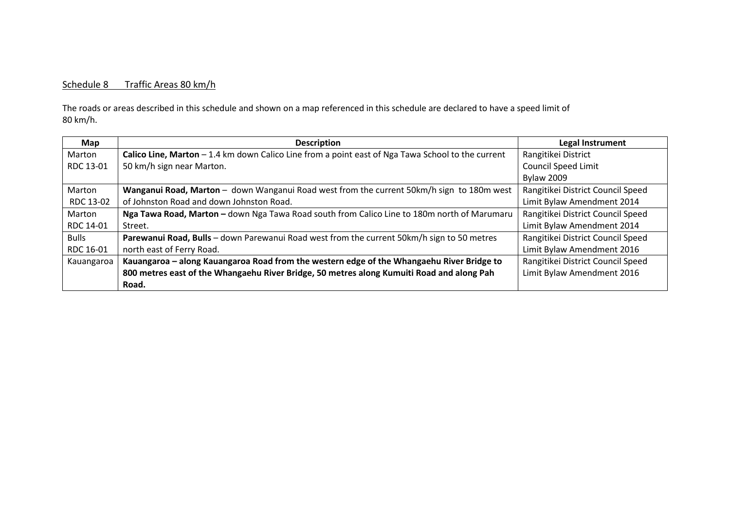#### Schedule 8 Traffic Areas 80 km/h

The roads or areas described in this schedule and shown on a map referenced in this schedule are declared to have a speed limit of 80 km/h.

| Map          | <b>Description</b>                                                                                 | <b>Legal Instrument</b>           |
|--------------|----------------------------------------------------------------------------------------------------|-----------------------------------|
| Marton       | Calico Line, Marton $-1.4$ km down Calico Line from a point east of Nga Tawa School to the current | Rangitikei District               |
| RDC 13-01    | 50 km/h sign near Marton.                                                                          | <b>Council Speed Limit</b>        |
|              |                                                                                                    | <b>Bylaw 2009</b>                 |
| Marton       | Wanganui Road, Marton - down Wanganui Road west from the current 50km/h sign to 180m west          | Rangitikei District Council Speed |
| RDC 13-02    | of Johnston Road and down Johnston Road.                                                           | Limit Bylaw Amendment 2014        |
| Marton       | Nga Tawa Road, Marton - down Nga Tawa Road south from Calico Line to 180m north of Marumaru        | Rangitikei District Council Speed |
| RDC 14-01    | Street.                                                                                            | Limit Bylaw Amendment 2014        |
| <b>Bulls</b> | Parewanui Road, Bulls - down Parewanui Road west from the current 50km/h sign to 50 metres         | Rangitikei District Council Speed |
| RDC 16-01    | north east of Ferry Road.                                                                          | Limit Bylaw Amendment 2016        |
| Kauangaroa   | Kauangaroa - along Kauangaroa Road from the western edge of the Whangaehu River Bridge to          | Rangitikei District Council Speed |
|              | 800 metres east of the Whangaehu River Bridge, 50 metres along Kumuiti Road and along Pah          | Limit Bylaw Amendment 2016        |
|              | Road.                                                                                              |                                   |